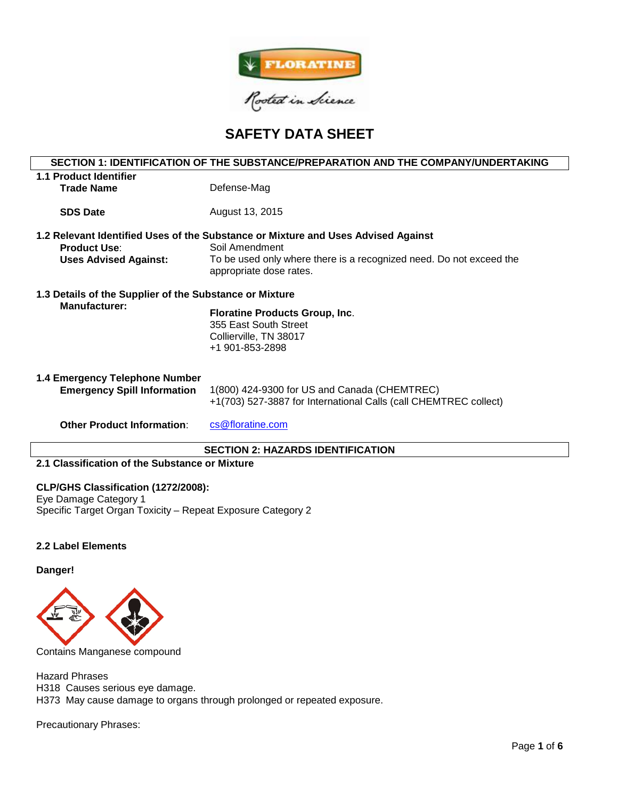

# **SAFETY DATA SHEET**

## **SECTION 1: IDENTIFICATION OF THE SUBSTANCE/PREPARATION AND THE COMPANY/UNDERTAKING**

| <b>1.1 Product Identifier</b><br><b>Trade Name</b>                              | Defense-Mag                                                                                                                                                                                           |
|---------------------------------------------------------------------------------|-------------------------------------------------------------------------------------------------------------------------------------------------------------------------------------------------------|
| <b>SDS Date</b>                                                                 | August 13, 2015                                                                                                                                                                                       |
| <b>Product Use:</b><br><b>Uses Advised Against:</b>                             | 1.2 Relevant Identified Uses of the Substance or Mixture and Uses Advised Against<br>Soil Amendment<br>To be used only where there is a recognized need. Do not exceed the<br>appropriate dose rates. |
| 1.3 Details of the Supplier of the Substance or Mixture<br><b>Manufacturer:</b> | <b>Floratine Products Group, Inc.</b><br>355 East South Street<br>Collierville, TN 38017<br>+1 901-853-2898                                                                                           |
| 1.4 Emergency Telephone Number<br><b>Emergency Spill Information</b>            | 1(800) 424-9300 for US and Canada (CHEMTREC)<br>+1(703) 527-3887 for International Calls (call CHEMTREC collect)                                                                                      |
| <b>Other Product Information:</b>                                               | cs@floratine.com                                                                                                                                                                                      |

## **SECTION 2: HAZARDS IDENTIFICATION**

#### **2.1 Classification of the Substance or Mixture**

#### **CLP/GHS Classification (1272/2008):**

Eye Damage Category 1 Specific Target Organ Toxicity – Repeat Exposure Category 2

#### **2.2 Label Elements**

#### **Danger!**



Contains Manganese compound

Hazard Phrases H318 Causes serious eye damage. H373 May cause damage to organs through prolonged or repeated exposure.

Precautionary Phrases: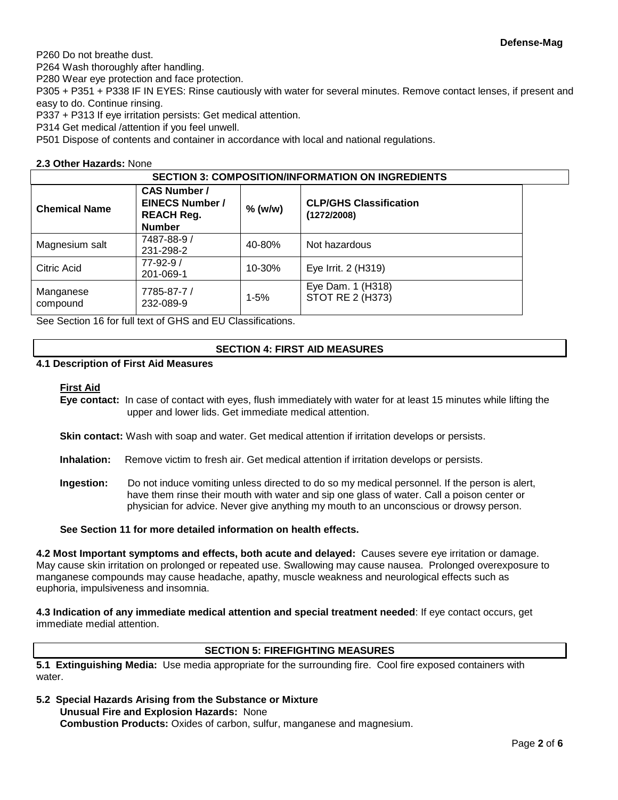P260 Do not breathe dust.

P264 Wash thoroughly after handling.

P280 Wear eye protection and face protection.

P305 + P351 + P338 IF IN EYES: Rinse cautiously with water for several minutes. Remove contact lenses, if present and easy to do. Continue rinsing.

P337 + P313 If eye irritation persists: Get medical attention.

P314 Get medical /attention if you feel unwell.

P501 Dispose of contents and container in accordance with local and national regulations.

## **2.3 Other Hazards:** None

| <b>SECTION 3: COMPOSITION/INFORMATION ON INGREDIENTS</b> |                                                                                     |           |                                              |  |  |
|----------------------------------------------------------|-------------------------------------------------------------------------------------|-----------|----------------------------------------------|--|--|
| <b>Chemical Name</b>                                     | <b>CAS Number /</b><br><b>EINECS Number /</b><br><b>REACH Reg.</b><br><b>Number</b> | $%$ (w/w) | <b>CLP/GHS Classification</b><br>(1272/2008) |  |  |
| Magnesium salt                                           | 7487-88-9 /<br>231-298-2                                                            | 40-80%    | Not hazardous                                |  |  |
| Citric Acid                                              | $77 - 92 - 9/$<br>201-069-1                                                         | 10-30%    | Eye Irrit. 2 (H319)                          |  |  |
| Manganese<br>compound                                    | 7785-87-7 /<br>232-089-9                                                            | $1 - 5%$  | Eye Dam. 1 (H318)<br>STOT RE 2 (H373)        |  |  |

See Section 16 for full text of GHS and EU Classifications.

#### **SECTION 4: FIRST AID MEASURES**

## **4.1 Description of First Aid Measures**

#### **First Aid**

**Eye contact:** In case of contact with eyes, flush immediately with water for at least 15 minutes while lifting the upper and lower lids. Get immediate medical attention.

**Skin contact:** Wash with soap and water. Get medical attention if irritation develops or persists.

- **Inhalation:** Remove victim to fresh air. Get medical attention if irritation develops or persists.
- **Ingestion:** Do not induce vomiting unless directed to do so my medical personnel. If the person is alert, have them rinse their mouth with water and sip one glass of water. Call a poison center or physician for advice. Never give anything my mouth to an unconscious or drowsy person.

#### **See Section 11 for more detailed information on health effects.**

**4.2 Most Important symptoms and effects, both acute and delayed:** Causes severe eye irritation or damage. May cause skin irritation on prolonged or repeated use. Swallowing may cause nausea. Prolonged overexposure to manganese compounds may cause headache, apathy, muscle weakness and neurological effects such as euphoria, impulsiveness and insomnia.

**4.3 Indication of any immediate medical attention and special treatment needed**: If eye contact occurs, get immediate medial attention.

## **SECTION 5: FIREFIGHTING MEASURES**

**5.1 Extinguishing Media:** Use media appropriate for the surrounding fire. Cool fire exposed containers with water.

**5.2 Special Hazards Arising from the Substance or Mixture**

**Unusual Fire and Explosion Hazards:** None **Combustion Products:** Oxides of carbon, sulfur, manganese and magnesium.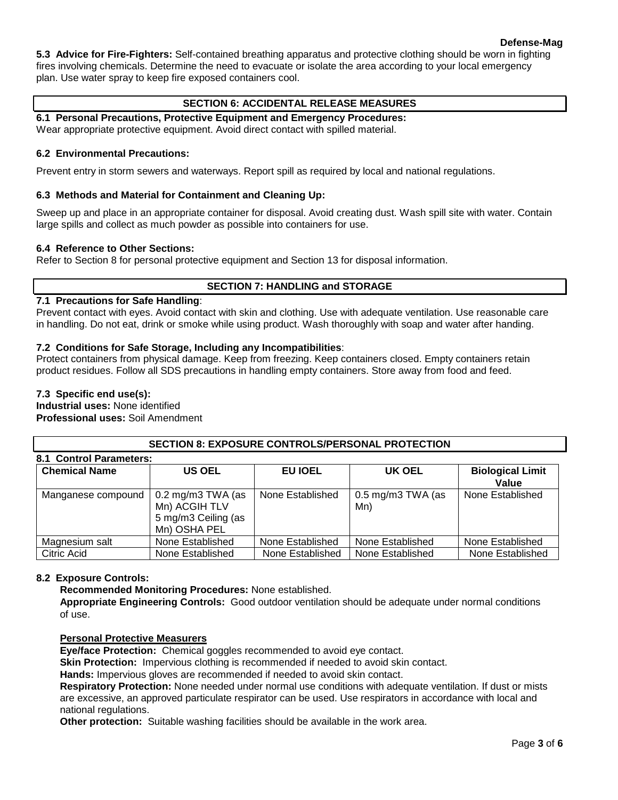## **Defense-Mag**

**5.3 Advice for Fire-Fighters:** Self-contained breathing apparatus and protective clothing should be worn in fighting fires involving chemicals. Determine the need to evacuate or isolate the area according to your local emergency plan. Use water spray to keep fire exposed containers cool.

## **SECTION 6: ACCIDENTAL RELEASE MEASURES**

## **6.1 Personal Precautions, Protective Equipment and Emergency Procedures:**

Wear appropriate protective equipment. Avoid direct contact with spilled material.

## **6.2 Environmental Precautions:**

Prevent entry in storm sewers and waterways. Report spill as required by local and national regulations.

### **6.3 Methods and Material for Containment and Cleaning Up:**

Sweep up and place in an appropriate container for disposal. Avoid creating dust. Wash spill site with water. Contain large spills and collect as much powder as possible into containers for use.

#### **6.4 Reference to Other Sections:**

Refer to Section 8 for personal protective equipment and Section 13 for disposal information.

## **SECTION 7: HANDLING and STORAGE**

#### **7.1 Precautions for Safe Handling**:

Prevent contact with eyes. Avoid contact with skin and clothing. Use with adequate ventilation. Use reasonable care in handling. Do not eat, drink or smoke while using product. Wash thoroughly with soap and water after handing.

## **7.2 Conditions for Safe Storage, Including any Incompatibilities**:

Protect containers from physical damage. Keep from freezing. Keep containers closed. Empty containers retain product residues. Follow all SDS precautions in handling empty containers. Store away from food and feed.

## **7.3 Specific end use(s):**

**Industrial uses:** None identified **Professional uses:** Soil Amendment

## **SECTION 8: EXPOSURE CONTROLS/PERSONAL PROTECTION**

| <b>8.1 Control Parameters:</b> |                                                                                             |                  |                                     |                         |  |  |  |  |
|--------------------------------|---------------------------------------------------------------------------------------------|------------------|-------------------------------------|-------------------------|--|--|--|--|
| <b>Chemical Name</b>           | <b>US OEL</b>                                                                               | EU IOEL          | UK OEL                              | <b>Biological Limit</b> |  |  |  |  |
|                                |                                                                                             |                  |                                     | Value                   |  |  |  |  |
| Manganese compound             | $0.2 \text{ mg/m}3 \text{ TWA}$ (as<br>Mn) ACGIH TLV<br>5 mg/m3 Ceiling (as<br>Mn) OSHA PEL | None Established | $0.5 \text{ mg/m}$ 3 TWA (as<br>Mn) | None Established        |  |  |  |  |
| Magnesium salt                 | None Established                                                                            | None Established | None Established                    | None Established        |  |  |  |  |
| Citric Acid                    | None Established                                                                            | None Established | None Established                    | None Established        |  |  |  |  |

#### **8.2 Exposure Controls:**

**Recommended Monitoring Procedures:** None established.

**Appropriate Engineering Controls:** Good outdoor ventilation should be adequate under normal conditions of use.

#### **Personal Protective Measurers**

**Eye/face Protection:** Chemical goggles recommended to avoid eye contact.

**Skin Protection:** Impervious clothing is recommended if needed to avoid skin contact.

**Hands:** Impervious gloves are recommended if needed to avoid skin contact.

**Respiratory Protection:** None needed under normal use conditions with adequate ventilation. If dust or mists are excessive, an approved particulate respirator can be used. Use respirators in accordance with local and national regulations.

**Other protection:** Suitable washing facilities should be available in the work area.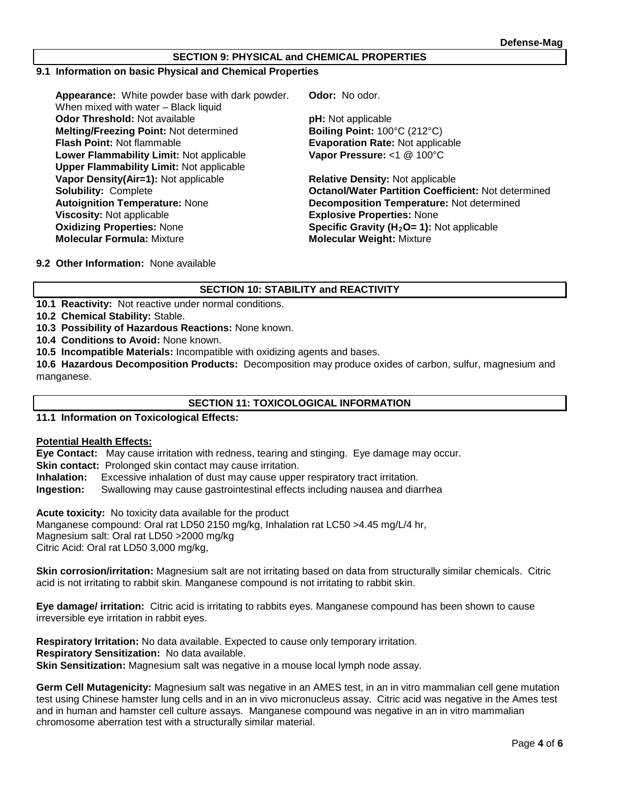#### **SECTION 9: PHYSICAL and CHEMICAL PROPERTIES**

#### **9.1 Information on basic Physical and Chemical Properties**

**Appearance:** White powder base with dark powder. When mixed with water – Black liquid **Odor Threshold:** Not available **pH:** Not applicable **Melting/Freezing Point: Not determined <br>
<b>Boiling Point: 100°C (212°C)**<br> **Evaporation Rate: Not applice**<br> **Boiling Point: Not flammable Lower Flammability Limit:** Not applicable **Upper Flammability Limit:** Not applicable **Vapor Density(Air=1):** Not applicable **Relative Density:** Not applicable **Autoignition Temperature:** None **Decomposition Temperature:** Not determined **Viscosity:** Not applicable **EXPLOSIVE Explosive Properties:** None<br> **Oxidizing Properties:** None **EXPLOSIVE Specific Gravity (H<sub>2</sub>O= 1):** N **Oxidizing Properties:** None **Specific Gravity (H<sub>2</sub>O= 1):** Not applicable **Molecular Weight:** Mixture **Molecular Weight:** Mixture

**Odor:** No odor.

**Evaporation Rate: Not applicable Vapor Pressure:** <1 @ 100°C

**Solubility:** Complete **Octanol/Water Partition Coefficient:** Not determined **Molecular Formula:** Mixture **Molecular Weight:** Mixture

**9.2 Other Information:** None available

## **SECTION 10: STABILITY and REACTIVITY**

**10.1 Reactivity:** Not reactive under normal conditions.

**10.2 Chemical Stability:** Stable.

**10.3 Possibility of Hazardous Reactions:** None known.

**10.4 Conditions to Avoid:** None known.

**10.5 Incompatible Materials:** Incompatible with oxidizing agents and bases.

**10.6 Hazardous Decomposition Products:** Decomposition may produce oxides of carbon, sulfur, magnesium and manganese.

## **SECTION 11: TOXICOLOGICAL INFORMATION**

**11.1 Information on Toxicological Effects:** 

#### **Potential Health Effects:**

**Eye Contact:** May cause irritation with redness, tearing and stinging. Eye damage may occur.

**Skin contact:** Prolonged skin contact may cause irritation.

**Inhalation:** Excessive inhalation of dust may cause upper respiratory tract irritation.

**Ingestion:** Swallowing may cause gastrointestinal effects including nausea and diarrhea

**Acute toxicity:** No toxicity data available for the product

Manganese compound: Oral rat LD50 2150 mg/kg, Inhalation rat LC50 >4.45 mg/L/4 hr, Magnesium salt: Oral rat LD50 >2000 mg/kg

Citric Acid: Oral rat LD50 3,000 mg/kg,

**Skin corrosion/irritation:** Magnesium salt are not irritating based on data from structurally similar chemicals. Citric acid is not irritating to rabbit skin. Manganese compound is not irritating to rabbit skin.

**Eye damage/ irritation:** Citric acid is irritating to rabbits eyes. Manganese compound has been shown to cause irreversible eye irritation in rabbit eyes.

**Respiratory Irritation:** No data available. Expected to cause only temporary irritation. **Respiratory Sensitization:** No data available. **Skin Sensitization:** Magnesium salt was negative in a mouse local lymph node assay.

**Germ Cell Mutagenicity:** Magnesium salt was negative in an AMES test, in an in vitro mammalian cell gene mutation test using Chinese hamster lung cells and in an in vivo micronucleus assay. Citric acid was negative in the Ames test and in human and hamster cell culture assays. Manganese compound was negative in an in vitro mammalian chromosome aberration test with a structurally similar material.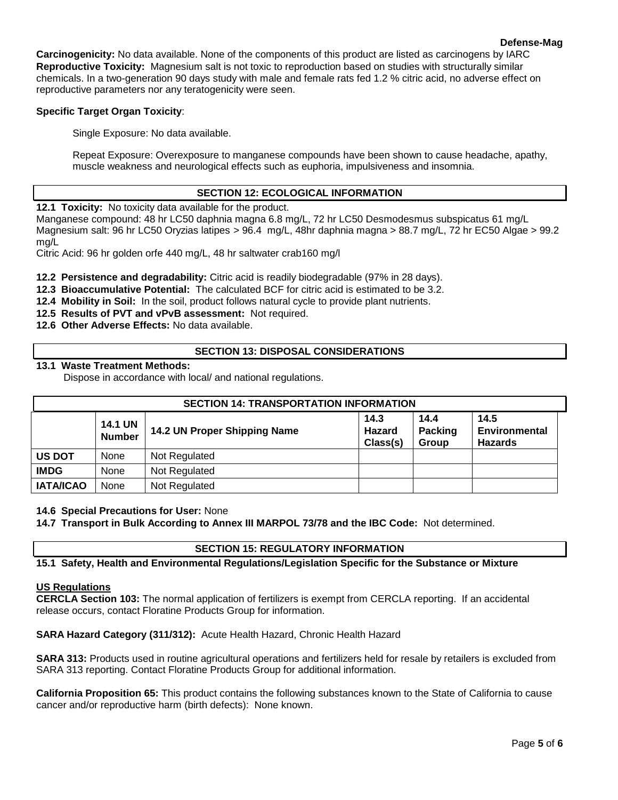**Carcinogenicity:** No data available. None of the components of this product are listed as carcinogens by IARC **Reproductive Toxicity:** Magnesium salt is not toxic to reproduction based on studies with structurally similar chemicals. In a two-generation 90 days study with male and female rats fed 1.2 % citric acid, no adverse effect on reproductive parameters nor any teratogenicity were seen.

## **Specific Target Organ Toxicity**:

Single Exposure: No data available.

Repeat Exposure: Overexposure to manganese compounds have been shown to cause headache, apathy, muscle weakness and neurological effects such as euphoria, impulsiveness and insomnia.

## **SECTION 12: ECOLOGICAL INFORMATION**

**12.1 Toxicity:** No toxicity data available for the product.

Manganese compound: 48 hr LC50 daphnia magna 6.8 mg/L, 72 hr LC50 Desmodesmus subspicatus 61 mg/L Magnesium salt: 96 hr LC50 Oryzias latipes > 96.4 mg/L, 48hr daphnia magna > 88.7 mg/L, 72 hr EC50 Algae > 99.2 mg/L

Citric Acid: 96 hr golden orfe 440 mg/L, 48 hr saltwater crab160 mg/l

**12.2 Persistence and degradability:** Citric acid is readily biodegradable (97% in 28 days).

- **12.3 Bioaccumulative Potential:** The calculated BCF for citric acid is estimated to be 3.2.
- **12.4 Mobility in Soil:** In the soil, product follows natural cycle to provide plant nutrients.
- **12.5 Results of PVT and vPvB assessment:** Not required.
- **12.6 Other Adverse Effects:** No data available.

## **SECTION 13: DISPOSAL CONSIDERATIONS**

## **13.1 Waste Treatment Methods:**

Dispose in accordance with local/ and national regulations.

| <b>SECTION 14: TRANSPORTATION INFORMATION</b> |                                 |                              |                                   |                                 |                                         |  |
|-----------------------------------------------|---------------------------------|------------------------------|-----------------------------------|---------------------------------|-----------------------------------------|--|
|                                               | <b>14.1 UN</b><br><b>Number</b> | 14.2 UN Proper Shipping Name | 14.3<br><b>Hazard</b><br>Class(s) | 14.4<br><b>Packing</b><br>Group | 14.5<br>Environmental<br><b>Hazards</b> |  |
| <b>US DOT</b>                                 | None                            | Not Regulated                |                                   |                                 |                                         |  |
| <b>IMDG</b>                                   | None                            | Not Regulated                |                                   |                                 |                                         |  |
| <b>IATA/ICAO</b>                              | None                            | Not Regulated                |                                   |                                 |                                         |  |

#### **14.6 Special Precautions for User:** None

**14.7 Transport in Bulk According to Annex III MARPOL 73/78 and the IBC Code:** Not determined.

#### **SECTION 15: REGULATORY INFORMATION**

**15.1 Safety, Health and Environmental Regulations/Legislation Specific for the Substance or Mixture**

#### **US Regulations**

**CERCLA Section 103:** The normal application of fertilizers is exempt from CERCLA reporting. If an accidental release occurs, contact Floratine Products Group for information.

**SARA Hazard Category (311/312):** Acute Health Hazard, Chronic Health Hazard

**SARA 313:** Products used in routine agricultural operations and fertilizers held for resale by retailers is excluded from SARA 313 reporting. Contact Floratine Products Group for additional information.

**California Proposition 65:** This product contains the following substances known to the State of California to cause cancer and/or reproductive harm (birth defects): None known.

**Defense-Mag**